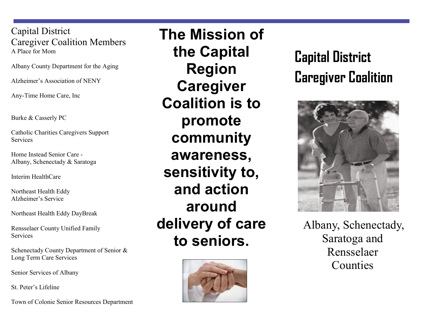Capital District Caregiver Coalition Members A Place for Mom

Albany County Department for the Aging

Alzheimer's Association of NENY

Any-Time Home Care, Inc

Burke & Casserly PC

Catholic Charities Caregivers Support **Services** 

Home Instead Senior Care - Albany, Schenectady & Saratoga

Interim HealthCare

Northeast Health Eddy Alzheimer's Service

Northeast Health Eddy DayBreak

Rensselaer County Unified Family **Services** 

Schenectady County Department of Senior & Long Term Care Services

Senior Services of Albany

St. Peter's Lifeline

Town of Colonie Senior Resources Department

**The Mission of the Capital Region Caregiver Coalition is to promote community awareness, sensitivity to, and action around delivery of care to seniors.**



# **Capital District Caregiver Coalition**



Albany, Schenectady, Saratoga and Rensselaer Counties